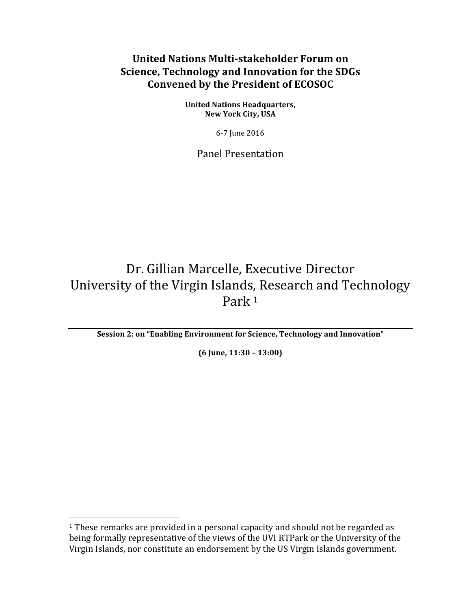# **United Nations Multi-stakeholder Forum on Science, Technology and Innovation for the SDGs Convened by the President of ECOSOC**

**United Nations Headquarters, New York City, USA** 

6-7 June 2016

Panel Presentation 

# Dr. Gillian Marcelle, Executive Director University of the Virgin Islands, Research and Technology Park<sup>1</sup>

**Session 2: on "Enabling Environment for Science, Technology and Innovation"** 

**(6 June, 11:30 – 13:00)** 

<u> 1989 - Johann Stein, marwolaethau a bh</u>

 $1$  These remarks are provided in a personal capacity and should not be regarded as being formally representative of the views of the UVI RTPark or the University of the Virgin Islands, nor constitute an endorsement by the US Virgin Islands government.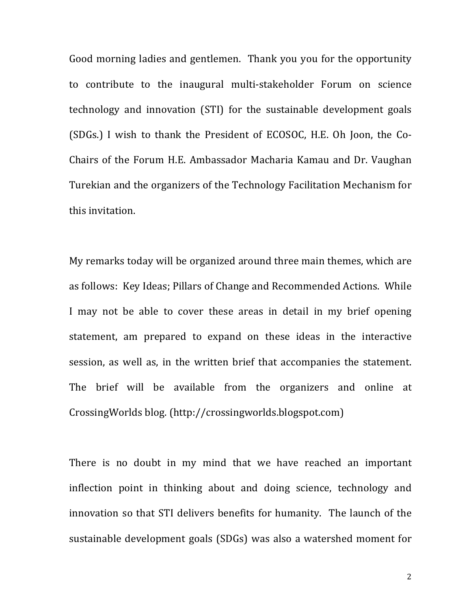Good morning ladies and gentlemen. Thank you you for the opportunity to contribute to the inaugural multi-stakeholder Forum on science technology and innovation (STI) for the sustainable development goals (SDGs.) I wish to thank the President of ECOSOC, H.E. Oh Joon, the Co-Chairs of the Forum H.E. Ambassador Macharia Kamau and Dr. Vaughan Turekian and the organizers of the Technology Facilitation Mechanism for this invitation. 

My remarks today will be organized around three main themes, which are as follows: Key Ideas; Pillars of Change and Recommended Actions. While I may not be able to cover these areas in detail in my brief opening statement, am prepared to expand on these ideas in the interactive session, as well as, in the written brief that accompanies the statement. The brief will be available from the organizers and online at CrossingWorlds blog. (http://crossingworlds.blogspot.com)

There is no doubt in my mind that we have reached an important inflection point in thinking about and doing science, technology and innovation so that STI delivers benefits for humanity. The launch of the sustainable development goals (SDGs) was also a watershed moment for

2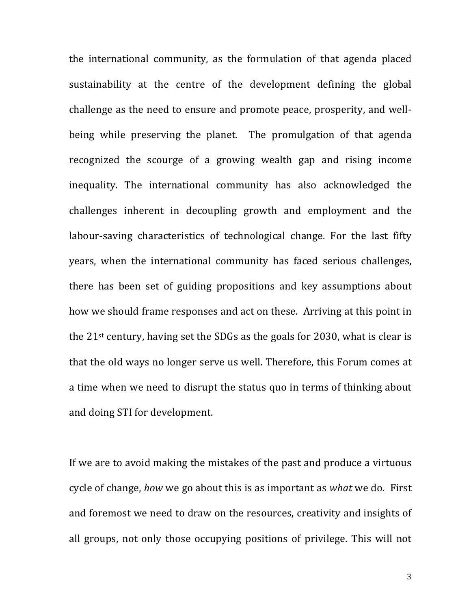the international community, as the formulation of that agenda placed sustainability at the centre of the development defining the global challenge as the need to ensure and promote peace, prosperity, and wellbeing while preserving the planet. The promulgation of that agenda recognized the scourge of a growing wealth gap and rising income inequality. The international community has also acknowledged the challenges inherent in decoupling growth and employment and the labour-saving characteristics of technological change. For the last fifty years, when the international community has faced serious challenges, there has been set of guiding propositions and key assumptions about how we should frame responses and act on these. Arriving at this point in the  $21^{st}$  century, having set the SDGs as the goals for 2030, what is clear is that the old ways no longer serve us well. Therefore, this Forum comes at a time when we need to disrupt the status quo in terms of thinking about and doing STI for development.

If we are to avoid making the mistakes of the past and produce a virtuous cycle of change, *how* we go about this is as important as *what* we do. First and foremost we need to draw on the resources, creativity and insights of all groups, not only those occupying positions of privilege. This will not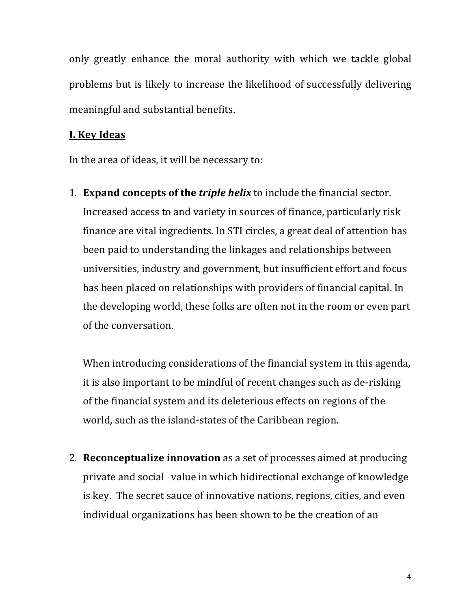only greatly enhance the moral authority with which we tackle global problems but is likely to increase the likelihood of successfully delivering meaningful and substantial benefits.

### **I. Key Ideas**

In the area of ideas, it will be necessary to:

1. **Expand concepts of the** *triple helix* to include the financial sector. Increased access to and variety in sources of finance, particularly risk finance are vital ingredients. In STI circles, a great deal of attention has been paid to understanding the linkages and relationships between universities, industry and government, but insufficient effort and focus has been placed on relationships with providers of financial capital. In the developing world, these folks are often not in the room or even part of the conversation.

When introducing considerations of the financial system in this agenda, it is also important to be mindful of recent changes such as de-risking of the financial system and its deleterious effects on regions of the world, such as the island-states of the Caribbean region.

2. **Reconceptualize innovation** as a set of processes aimed at producing private and social value in which bidirectional exchange of knowledge is key. The secret sauce of innovative nations, regions, cities, and even individual organizations has been shown to be the creation of an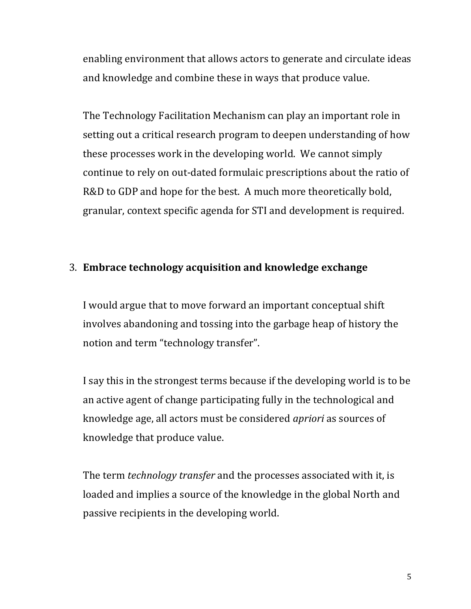enabling environment that allows actors to generate and circulate ideas and knowledge and combine these in ways that produce value.

The Technology Facilitation Mechanism can play an important role in setting out a critical research program to deepen understanding of how these processes work in the developing world. We cannot simply continue to rely on out-dated formulaic prescriptions about the ratio of R&D to GDP and hope for the best. A much more theoretically bold, granular, context specific agenda for STI and development is required.

## 3. **Embrace technology acquisition and knowledge exchange**

I would argue that to move forward an important conceptual shift involves abandoning and tossing into the garbage heap of history the notion and term "technology transfer".

I say this in the strongest terms because if the developing world is to be an active agent of change participating fully in the technological and knowledge age, all actors must be considered *apriori* as sources of knowledge that produce value.

The term *technology transfer* and the processes associated with it, is loaded and implies a source of the knowledge in the global North and passive recipients in the developing world.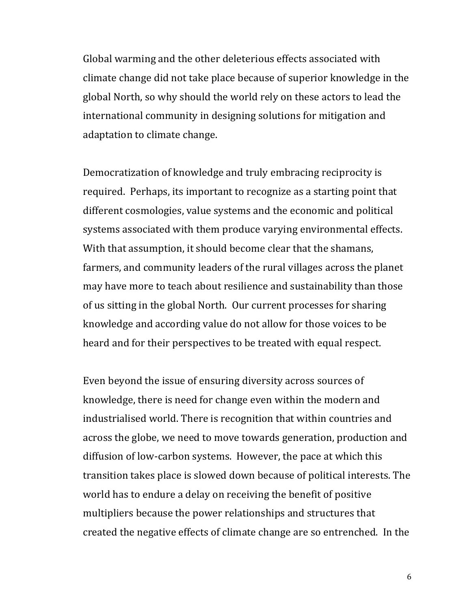Global warming and the other deleterious effects associated with climate change did not take place because of superior knowledge in the global North, so why should the world rely on these actors to lead the international community in designing solutions for mitigation and adaptation to climate change.

Democratization of knowledge and truly embracing reciprocity is required. Perhaps, its important to recognize as a starting point that different cosmologies, value systems and the economic and political systems associated with them produce varying environmental effects. With that assumption, it should become clear that the shamans, farmers, and community leaders of the rural villages across the planet may have more to teach about resilience and sustainability than those of us sitting in the global North. Our current processes for sharing knowledge and according value do not allow for those voices to be heard and for their perspectives to be treated with equal respect.

Even beyond the issue of ensuring diversity across sources of knowledge, there is need for change even within the modern and industrialised world. There is recognition that within countries and across the globe, we need to move towards generation, production and diffusion of low-carbon systems. However, the pace at which this transition takes place is slowed down because of political interests. The world has to endure a delay on receiving the benefit of positive multipliers because the power relationships and structures that created the negative effects of climate change are so entrenched. In the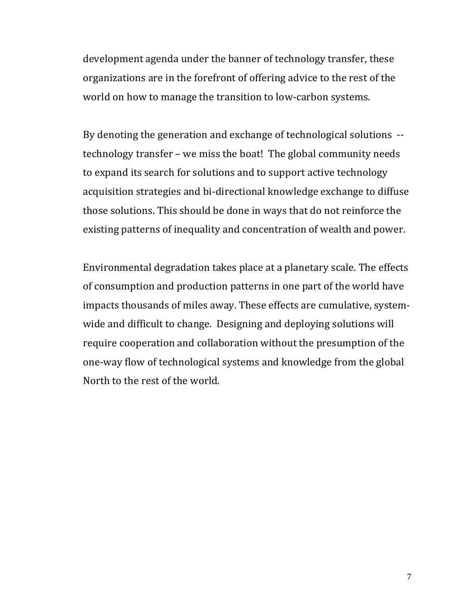development agenda under the banner of technology transfer, these organizations are in the forefront of offering advice to the rest of the world on how to manage the transition to low-carbon systems.

By denoting the generation and exchange of technological solutions  $$ technology transfer – we miss the boat! The global community needs to expand its search for solutions and to support active technology acquisition strategies and bi-directional knowledge exchange to diffuse those solutions. This should be done in ways that do not reinforce the existing patterns of inequality and concentration of wealth and power.

Environmental degradation takes place at a planetary scale. The effects of consumption and production patterns in one part of the world have impacts thousands of miles away. These effects are cumulative, systemwide and difficult to change. Designing and deploying solutions will require cooperation and collaboration without the presumption of the one-way flow of technological systems and knowledge from the global North to the rest of the world.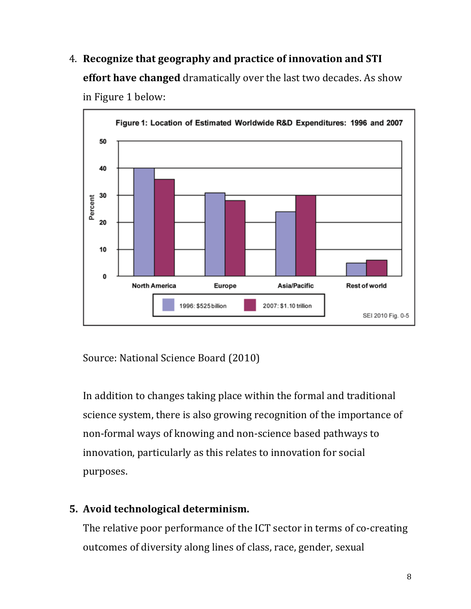4. Recognize that geography and practice of innovation and STI **effort have changed** dramatically over the last two decades. As show in Figure 1 below:



Source: National Science Board (2010)

In addition to changes taking place within the formal and traditional science system, there is also growing recognition of the importance of non-formal ways of knowing and non-science based pathways to innovation, particularly as this relates to innovation for social purposes. 

# **5.** Avoid technological determinism.

The relative poor performance of the ICT sector in terms of co-creating outcomes of diversity along lines of class, race, gender, sexual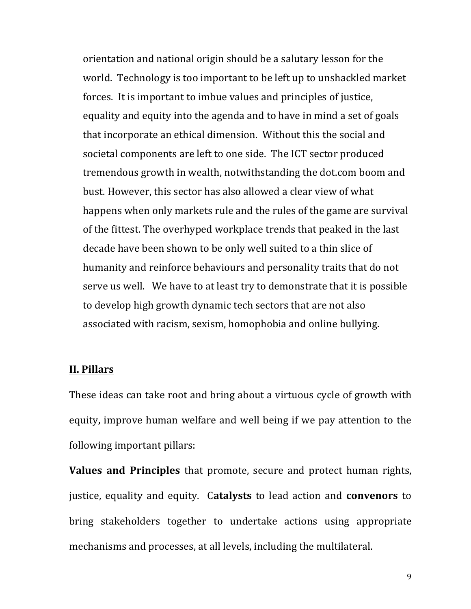orientation and national origin should be a salutary lesson for the world. Technology is too important to be left up to unshackled market forces. It is important to imbue values and principles of justice, equality and equity into the agenda and to have in mind a set of goals that incorporate an ethical dimension. Without this the social and societal components are left to one side. The ICT sector produced tremendous growth in wealth, notwithstanding the dot.com boom and bust. However, this sector has also allowed a clear view of what happens when only markets rule and the rules of the game are survival of the fittest. The overhyped workplace trends that peaked in the last decade have been shown to be only well suited to a thin slice of humanity and reinforce behaviours and personality traits that do not serve us well. We have to at least try to demonstrate that it is possible to develop high growth dynamic tech sectors that are not also associated with racism, sexism, homophobia and online bullying.

### **II. Pillars**

These ideas can take root and bring about a virtuous cycle of growth with equity, improve human welfare and well being if we pay attention to the following important pillars:

**Values and Principles** that promote, secure and protect human rights, justice, equality and equity. Catalysts to lead action and **convenors** to bring stakeholders together to undertake actions using appropriate mechanisms and processes, at all levels, including the multilateral.

9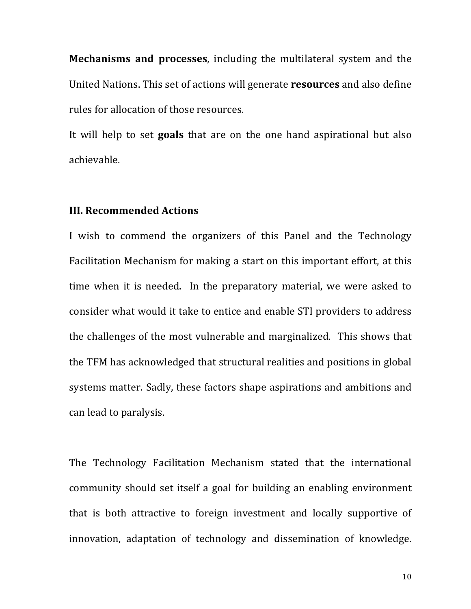**Mechanisms and processes**, including the multilateral system and the United Nations. This set of actions will generate **resources** and also define rules for allocation of those resources.

It will help to set **goals** that are on the one hand aspirational but also achievable. 

### **III. Recommended Actions**

I wish to commend the organizers of this Panel and the Technology Facilitation Mechanism for making a start on this important effort, at this time when it is needed. In the preparatory material, we were asked to consider what would it take to entice and enable STI providers to address the challenges of the most vulnerable and marginalized. This shows that the TFM has acknowledged that structural realities and positions in global systems matter. Sadly, these factors shape aspirations and ambitions and can lead to paralysis.

The Technology Facilitation Mechanism stated that the international community should set itself a goal for building an enabling environment that is both attractive to foreign investment and locally supportive of innovation, adaptation of technology and dissemination of knowledge.

10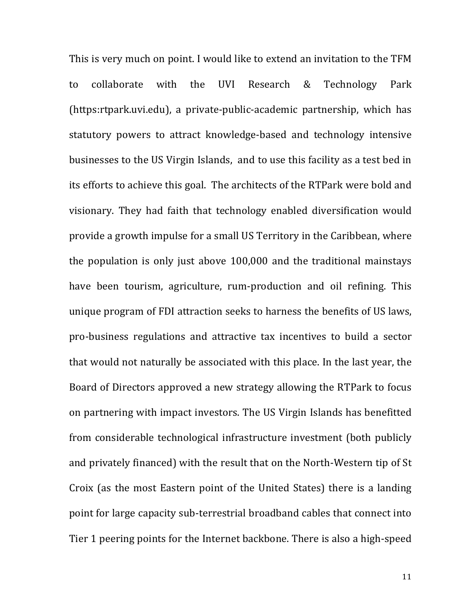This is very much on point. I would like to extend an invitation to the TFM to collaborate with the UVI Research & Technology Park (https:rtpark.uvi.edu), a private-public-academic partnership, which has statutory powers to attract knowledge-based and technology intensive businesses to the US Virgin Islands, and to use this facility as a test bed in its efforts to achieve this goal. The architects of the RTPark were bold and visionary. They had faith that technology enabled diversification would provide a growth impulse for a small US Territory in the Caribbean, where the population is only just above  $100,000$  and the traditional mainstays have been tourism, agriculture, rum-production and oil refining. This unique program of FDI attraction seeks to harness the benefits of US laws, pro-business regulations and attractive tax incentives to build a sector that would not naturally be associated with this place. In the last year, the Board of Directors approved a new strategy allowing the RTPark to focus on partnering with impact investors. The US Virgin Islands has benefitted from considerable technological infrastructure investment (both publicly and privately financed) with the result that on the North-Western tip of St Croix (as the most Eastern point of the United States) there is a landing point for large capacity sub-terrestrial broadband cables that connect into Tier 1 peering points for the Internet backbone. There is also a high-speed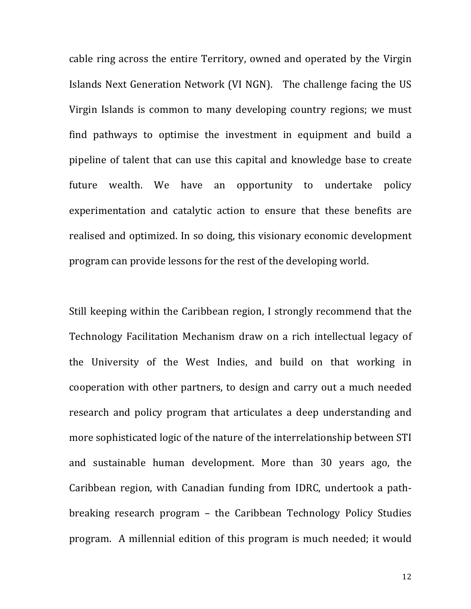cable ring across the entire Territory, owned and operated by the Virgin Islands Next Generation Network (VI NGN). The challenge facing the US Virgin Islands is common to many developing country regions; we must find pathways to optimise the investment in equipment and build a pipeline of talent that can use this capital and knowledge base to create future wealth. We have an opportunity to undertake policy experimentation and catalytic action to ensure that these benefits are realised and optimized. In so doing, this visionary economic development program can provide lessons for the rest of the developing world.

Still keeping within the Caribbean region, I strongly recommend that the Technology Facilitation Mechanism draw on a rich intellectual legacy of the University of the West Indies, and build on that working in cooperation with other partners, to design and carry out a much needed research and policy program that articulates a deep understanding and more sophisticated logic of the nature of the interrelationship between STI and sustainable human development. More than 30 years ago, the Caribbean region, with Canadian funding from IDRC, undertook a pathbreaking research program - the Caribbean Technology Policy Studies program. A millennial edition of this program is much needed; it would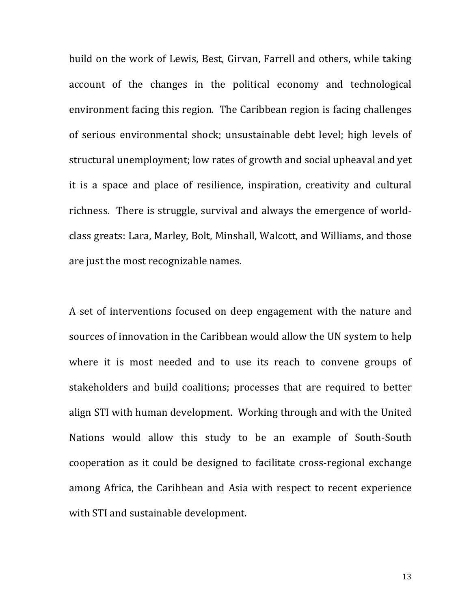build on the work of Lewis, Best, Girvan, Farrell and others, while taking account of the changes in the political economy and technological environment facing this region. The Caribbean region is facing challenges of serious environmental shock; unsustainable debt level; high levels of structural unemployment; low rates of growth and social upheaval and yet it is a space and place of resilience, inspiration, creativity and cultural richness. There is struggle, survival and always the emergence of worldclass greats: Lara, Marley, Bolt, Minshall, Walcott, and Williams, and those are just the most recognizable names.

A set of interventions focused on deep engagement with the nature and sources of innovation in the Caribbean would allow the UN system to help where it is most needed and to use its reach to convene groups of stakeholders and build coalitions; processes that are required to better align STI with human development. Working through and with the United Nations would allow this study to be an example of South-South cooperation as it could be designed to facilitate cross-regional exchange among Africa, the Caribbean and Asia with respect to recent experience with STI and sustainable development.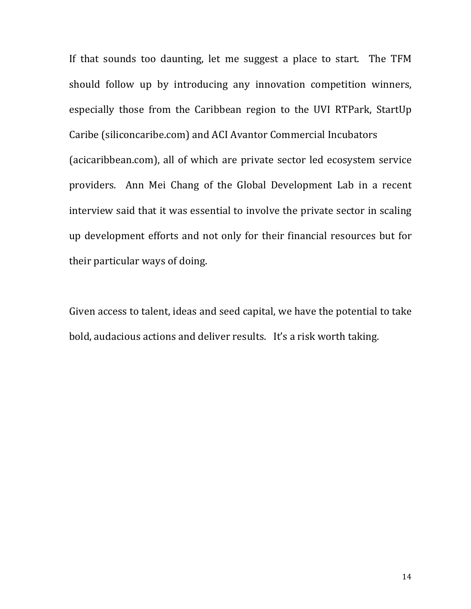If that sounds too daunting, let me suggest a place to start. The TFM should follow up by introducing any innovation competition winners, especially those from the Caribbean region to the UVI RTPark, StartUp Caribe (siliconcaribe.com) and ACI Avantor Commercial Incubators (acicaribbean.com), all of which are private sector led ecosystem service providers. Ann Mei Chang of the Global Development Lab in a recent interview said that it was essential to involve the private sector in scaling up development efforts and not only for their financial resources but for their particular ways of doing.

Given access to talent, ideas and seed capital, we have the potential to take bold, audacious actions and deliver results. It's a risk worth taking.